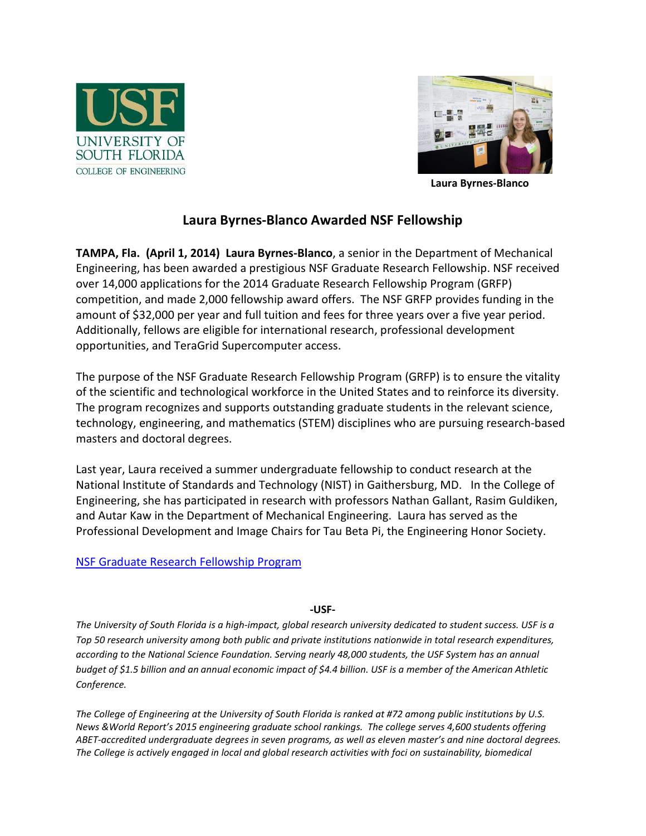



**Laura Byrnes-Blanco**

## **Laura Byrnes-Blanco Awarded NSF Fellowship**

**TAMPA, Fla. (April 1, 2014) Laura Byrnes-Blanco**, a senior in the Department of Mechanical Engineering, has been awarded a prestigious NSF Graduate Research Fellowship. NSF received over 14,000 applications for the 2014 Graduate Research Fellowship Program (GRFP) competition, and made 2,000 fellowship award offers. The NSF GRFP provides funding in the amount of \$32,000 per year and full tuition and fees for three years over a five year period. Additionally, fellows are eligible for international research, professional development opportunities, and TeraGrid Supercomputer access.

The purpose of the NSF Graduate Research Fellowship Program (GRFP) is to ensure the vitality of the scientific and technological workforce in the United States and to reinforce its diversity. The program recognizes and supports outstanding graduate students in the relevant science, technology, engineering, and mathematics (STEM) disciplines who are pursuing research-based masters and doctoral degrees.

Last year, Laura received a summer undergraduate fellowship to conduct research at the National Institute of Standards and Technology (NIST) in Gaithersburg, MD. In the College of Engineering, she has participated in research with professors Nathan Gallant, Rasim Guldiken, and Autar Kaw in the Department of Mechanical Engineering. Laura has served as the Professional Development and Image Chairs for Tau Beta Pi, the Engineering Honor Society.

## [NSF Graduate Research Fellowship Program](http://www.nsfgrfp.org/)

## **-USF-**

*The University of South Florida is a high-impact, global research university dedicated to student success. USF is a Top 50 research university among both public and private institutions nationwide in total research expenditures, according to the National Science Foundation. Serving nearly 48,000 students, the USF System has an annual budget of \$1.5 billion and an annual economic impact of \$4.4 billion. USF is a member of the American Athletic Conference.*

*The College of Engineering at the University of South Florida is ranked at #72 among public institutions by U.S. News &World Report's 2015 engineering graduate school rankings. The college serves 4,600 students offering ABET-accredited undergraduate degrees in seven programs, as well as eleven master's and nine doctoral degrees. The College is actively engaged in local and global research activities with foci on sustainability, biomedical*